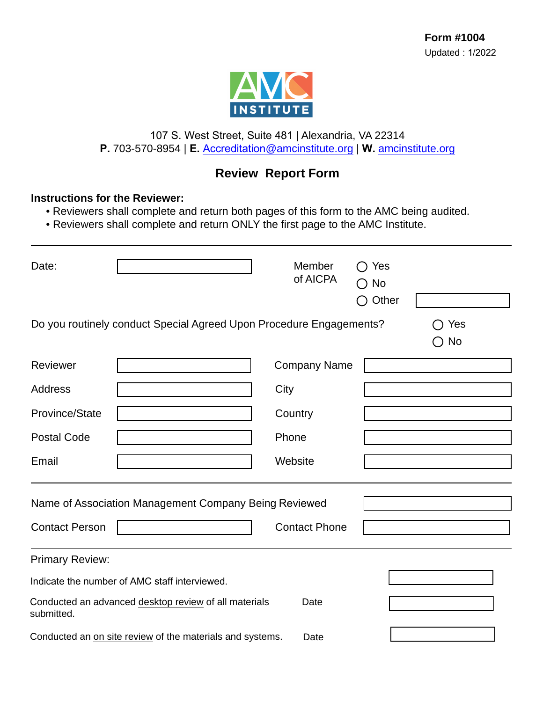

## 107 S. West Street, Suite 481 | Alexandria, VA 22314 **P.** 703-570-8954 | **E.** Accreditation[@amcinstitute.org](mailto:accreditation@amcinstitute.org) | **W.** [amcinstitute.org](http://amcinstitute.org)

## **Review Report Form**

## **Instructions for the Reviewer:**

• Reviewers shall complete and return both pages of this form to the AMC being audited.

• Reviewers shall complete and return ONLY the first page to the AMC Institute.

| Date:                                                                       |                                                                     | Member<br>of AICPA   | Yes<br>$\Box$<br>$\bigcirc$ No<br>Other |  |  |  |  |
|-----------------------------------------------------------------------------|---------------------------------------------------------------------|----------------------|-----------------------------------------|--|--|--|--|
|                                                                             | Do you routinely conduct Special Agreed Upon Procedure Engagements? |                      | Yes<br>No                               |  |  |  |  |
| Reviewer                                                                    |                                                                     | <b>Company Name</b>  |                                         |  |  |  |  |
| <b>Address</b>                                                              |                                                                     | City                 |                                         |  |  |  |  |
| Province/State                                                              |                                                                     | Country              |                                         |  |  |  |  |
| <b>Postal Code</b>                                                          |                                                                     | Phone                |                                         |  |  |  |  |
| Email                                                                       |                                                                     | Website              |                                         |  |  |  |  |
| Name of Association Management Company Being Reviewed                       |                                                                     |                      |                                         |  |  |  |  |
| <b>Contact Person</b>                                                       |                                                                     | <b>Contact Phone</b> |                                         |  |  |  |  |
| <b>Primary Review:</b>                                                      |                                                                     |                      |                                         |  |  |  |  |
| Indicate the number of AMC staff interviewed.                               |                                                                     |                      |                                         |  |  |  |  |
| Conducted an advanced desktop review of all materials<br>Date<br>submitted. |                                                                     |                      |                                         |  |  |  |  |
| Conducted an en site review of the materials and systems<br>Doto            |                                                                     |                      |                                         |  |  |  |  |

Date Conducted an <u>on site review</u> of the materials and systems.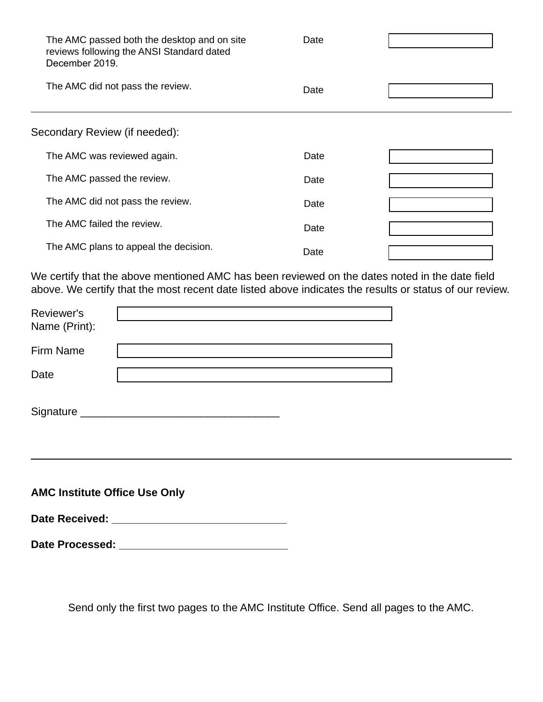| The AMC passed both the desktop and on site<br>reviews following the ANSI Standard dated<br>December 2019. | Date |  |
|------------------------------------------------------------------------------------------------------------|------|--|
| The AMC did not pass the review.                                                                           | Date |  |
| Secondary Review (if needed):                                                                              |      |  |
| The AMC was reviewed again.                                                                                | Date |  |
| The AMC passed the review.                                                                                 | Date |  |
| The AMC did not pass the review.                                                                           | Date |  |
| The AMC failed the review.                                                                                 | Date |  |
| The AMC plans to appeal the decision.                                                                      | Date |  |

We certify that the above mentioned AMC has been reviewed on the dates noted in the date field above. We certify that the most recent date listed above indicates the results or status of our review.

| Reviewer's<br>Name (Print):                                                                                                                                                                                                    |  |  |  |  |  |  |
|--------------------------------------------------------------------------------------------------------------------------------------------------------------------------------------------------------------------------------|--|--|--|--|--|--|
| <b>Firm Name</b>                                                                                                                                                                                                               |  |  |  |  |  |  |
| Date                                                                                                                                                                                                                           |  |  |  |  |  |  |
|                                                                                                                                                                                                                                |  |  |  |  |  |  |
| <b>AMC Institute Office Use Only</b>                                                                                                                                                                                           |  |  |  |  |  |  |
| Date Received: The contract of the contract of the contract of the contract of the contract of the contract of the contract of the contract of the contract of the contract of the contract of the contract of the contract of |  |  |  |  |  |  |

**Date Processed: \_\_\_\_\_\_\_\_\_\_\_\_\_\_\_\_\_\_\_\_\_\_\_\_\_\_\_\_**

Send only the first two pages to the AMC Institute Office. Send all pages to the AMC.